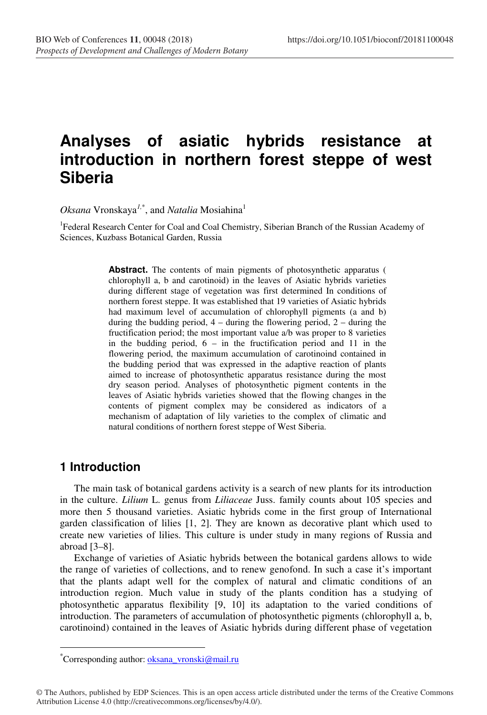# **Analyses of asiatic hybrids resistance at introduction in northern forest steppe of west Siberia**

*Oksana* Vronskaya*1,*\* , and *Natalia* Mosiahina<sup>1</sup>

<sup>1</sup> Federal Research Center for Coal and Coal Chemistry, Siberian Branch of the Russian Academy of Sciences, Kuzbass Botanical Garden, Russia

> Abstract. The contents of main pigments of photosynthetic apparatus ( chlorophyll a, b and carotinoid) in the leaves of Asiatic hybrids varieties during different stage of vegetation was first determined In conditions of northern forest steppe. It was established that 19 varieties of Asiatic hybrids had maximum level of accumulation of chlorophyll pigments (a and b) during the budding period, 4 – during the flowering period, 2 – during the fructification period; the most important value a/b was proper to 8 varieties in the budding period, 6 – in the fructification period and 11 in the flowering period, the maximum accumulation of carotinoind contained in the budding period that was expressed in the adaptive reaction of plants aimed to increase of photosynthetic apparatus resistance during the most dry season period. Analyses of photosynthetic pigment contents in the leaves of Asiatic hybrids varieties showed that the flowing changes in the contents of pigment complex may be considered as indicators of a mechanism of adaptation of lily varieties to the complex of climatic and natural conditions of northern forest steppe of West Siberia.

#### **1 Introduction**

 $\overline{a}$ 

The main task of botanical gardens activity is a search of new plants for its introduction in the culture. *Lilium* L. genus from *Liliaceae* Juss. family counts about 105 species and more then 5 thousand varieties. Asiatic hybrids come in the first group of International garden classification of lilies [1, 2]. They are known as decorative plant which used to create new varieties of lilies. This culture is under study in many regions of Russia and abroad [3–8].

Exchange of varieties of Asiatic hybrids between the botanical gardens allows to wide the range of varieties of collections, and to renew genofond. In such a case it's important that the plants adapt well for the complex of natural and climatic conditions of an introduction region. Much value in study of the plants condition has a studying of photosynthetic apparatus flexibility [9, 10] its adaptation to the varied conditions of introduction. The parameters of accumulation of photosynthetic pigments (chlorophyll a, b, carotinoind) contained in the leaves of Asiatic hybrids during different phase of vegetation

<sup>\*</sup>Corresponding author: **oksana\_vronski@mail.ru** 

<sup>©</sup> The Authors, published by EDP Sciences. This is an open access article distributed under the terms of the Creative Commons Attribution License 4.0 (http://creativecommons.org/licenses/by/4.0/).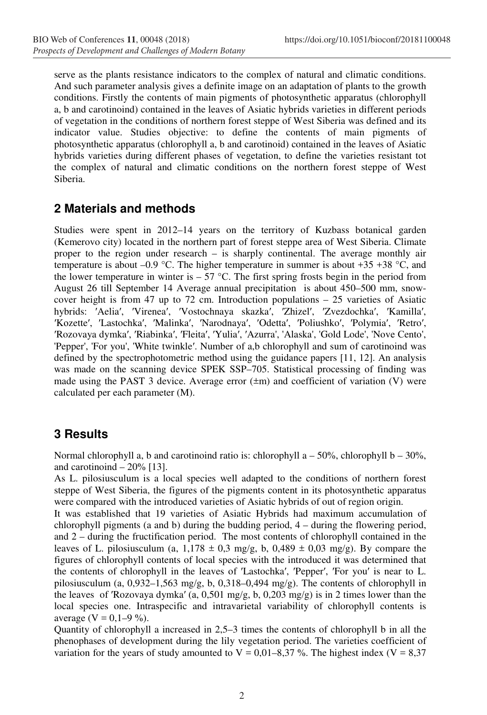serve as the plants resistance indicators to the complex of natural and climatic conditions. And such parameter analysis gives a definite image on an adaptation of plants to the growth conditions. Firstly the contents of main pigments of photosynthetic apparatus (chlorophyll a, b and carotinoind) contained in the leaves of Asiatic hybrids varieties in different periods of vegetation in the conditions of northern forest steppe of West Siberia was defined and its indicator value. Studies objective: to define the contents of main pigments of photosynthetic apparatus (chlorophyll a, b and carotinoid) contained in the leaves of Asiatic hybrids varieties during different phases of vegetation, to define the varieties resistant tot the complex of natural and climatic conditions on the northern forest steppe of West Siberia.

# **2 Materials and methods**

Studies were spent in 2012–14 years on the territory of Kuzbass botanical garden (Kemerovo city) located in the northern part of forest steppe area of West Siberia. Climate proper to the region under research – is sharply continental. The average monthly air temperature is about –0.9 °C. The higher temperature in summer is about +35 +38 °C, and the lower temperature in winter is  $-57$  °C. The first spring frosts begin in the period from August 26 till September 14 Average annual precipitation is about 450–500 mm, snowcover height is from 47 up to 72 cm. Introduction populations – 25 varieties of Asiatic hybrids: ′Aelia′, ′Virenea′, ′Vostochnaya skazka′, ′Zhizel′, ′Zvezdochka′, ′Kamilla′, ′Kоzette′, ′Lastochka′, ′Malinka′, ′Narodnaya′, ′Odetta′, ′Poliushko′, ′Polymia′, ′Retro′, ′Rozovaya dymka′, ′Riabinka′, ′Fleita′, ′Yulia′, ′Azurra', 'Alaska', 'Gold Lode', 'Novе Сento', 'Pepper', 'For you', 'White twinkle′. Number of a,b chlorophyll and sum of carotinoind was defined by the spectrophotometric method using the guidance papers [11, 12]. An analysis was made on the scanning device SPEK SSP–705. Statistical processing of finding was made using the PAST 3 device. Average error  $(\pm m)$  and coefficient of variation (V) were calculated per each parameter (M).

## **3 Results**

Normal chlorophyll a, b and carotinoind ratio is: chlorophyll  $a - 50\%$ , chlorophyll b – 30%, and carotinoind  $-20\%$  [13].

As L. pilosiusculum is a local species well adapted to the conditions of northern forest steppe of West Siberia, the figures of the pigments content in its photosynthetic apparatus were compared with the introduced varieties of Asiatic hybrids of out of region origin.

It was established that 19 varieties of Asiatic Hybrids had maximum accumulation of chlorophyll pigments (a and b) during the budding period, 4 – during the flowering period, and 2 – during the fructification period. The most contents of chlorophyll contained in the leaves of L. pilosiusculum (a,  $1,178 \pm 0.3$  mg/g, b,  $0,489 \pm 0.03$  mg/g). By compare the figures of chlorophyll contents of local species with the introduced it was determined that the contents of chlorophyll in the leaves of ′Lastochka′, ′Pepper′, ′For you′ is near to L. pilosiusculum (а, 0,932–1,563 mg/g, b, 0,318–0,494 mg/g). The contents of chlorophyll in the leaves of ′Rozovaya dymka′ (а, 0,501 mg/g, b, 0,203 mg/g) is in 2 times lower than the local species one. Intraspecific and intravarietal variability of chlorophyll contents is average (V =  $0,1-9$  %).

Quantity of chlorophyll a increased in 2,5–3 times the contents of chlorophyll b in all the phenophases of development during the lily vegetation period. The varieties coefficient of variation for the years of study amounted to  $V = 0.01-8.37$  %. The highest index ( $V = 8.37$ )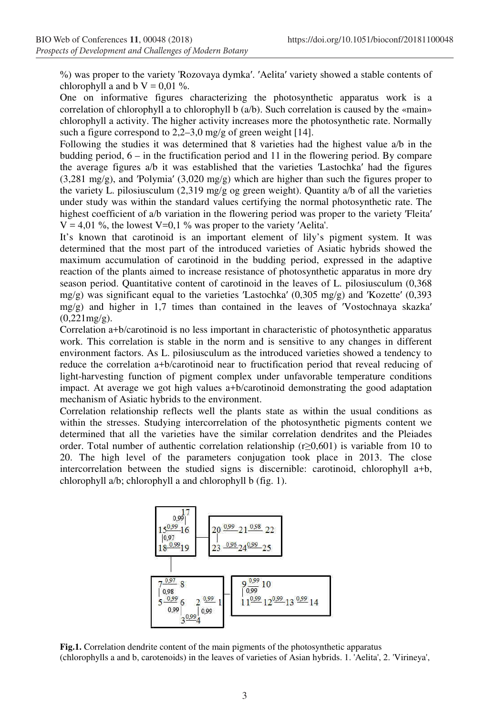%) was proper to the variety 'Rozovaya dymka′. ′Aelita′ variety showed a stable contents of chlorophyll a and b  $V = 0.01$  %.

One on informative figures characterizing the photosynthetic apparatus work is a correlation of chlorophyll a to chlorophyll b (a/b). Such correlation is caused by the «main» chlorophyll a activity. The higher activity increases more the photosynthetic rate. Normally such a figure correspond to 2,2–3,0 mg/g of green weight [14].

Following the studies it was determined that 8 varieties had the highest value a/b in the budding period, 6 – in the fructification period and 11 in the flowering period. By compare the average figures a/b it was established that the varieties ′Lastochka′ had the figures (3,281 mg/g), and ′Polymia′ (3,020 mg/g) which are higher than such the figures proper to the variety L. pilosiusculum (2,319 mg/g og green weight). Quantity a/b of all the varieties under study was within the standard values certifying the normal photosynthetic rate. The highest coefficient of a/b variation in the flowering period was proper to the variety 'Fleita'  $V = 4.01$  %, the lowest V=0,1 % was proper to the variety 'Aelita'.

It's known that carotinoid is an important element of lily's pigment system. It was determined that the most part of the introduced varieties of Asiatic hybrids showed the maximum accumulation of carotinoid in the budding period, expressed in the adaptive reaction of the plants aimed to increase resistance of photosynthetic apparatus in more dry season period. Quantitative content of carotinoid in the leaves of L. pilosiusculum (0,368 mg/g) was significant equal to the varieties 'Lastochka' (0,305 mg/g) and 'Kozette' (0,393 mg/g) and higher in 1,7 times than contained in the leaves of 'Vostochnaya skazka'  $(0,221mg/g)$ .

Correlation а+b/carotinoid is no less important in characteristic of photosynthetic apparatus work. This correlation is stable in the norm and is sensitive to any changes in different environment factors. As L. pilosiusculum as the introduced varieties showed a tendency to reduce the correlation a+b/carotinoid near to fructification period that reveal reducing of light-harvesting function of pigment complex under unfavorable temperature conditions impact. At average we got high values a+b/carotinoid demonstrating the good adaptation mechanism of Asiatic hybrids to the environment.

Correlation relationship reflects well the plants state as within the usual conditions as within the stresses. Studying intercorrelation of the photosynthetic pigments content we determined that all the varieties have the similar correlation dendrites and the Pleiades order. Total number of authentic correlation relationship ( $r\geq 0.601$ ) is variable from 10 to 20. The high level of the parameters conjugation took place in 2013. The close intercorrelation between the studied signs is discernible: carotinoid, chlorophyll a+b, chlorophyll a/b; chlorophyll a and chlorophyll b (fig. 1).



**Fig.1.** Correlation dendrite content of the main pigments of the photosynthetic apparatus (chlorophylls a and b, carotenoids) in the leaves of varieties of Asian hybrids. 1. 'Aelita', 2. 'Virineya',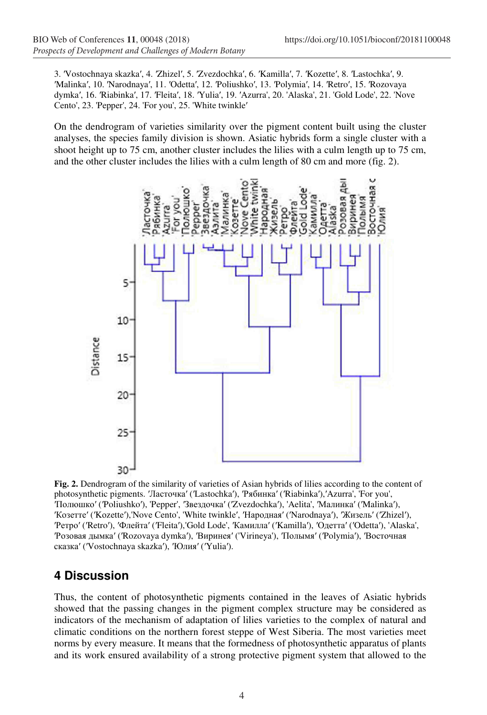3. ′Vostochnaya skazka′, 4. ′Zhizel′, 5. ′Zvezdochka′, 6. ′Kamilla′, 7. ′Kоzette′, 8. ′Lastochka′, 9. ′Malinka′, 10. ′Narodnaya′, 11. ′Odetta′, 12. ′Poliushko′, 13. ′Polymia′, 14. ′Retro′, 15. ′Rozovaya dymka′, 16. ′Riabinka′, 17. ′Fleita′, 18. ′Yulia′, 19. ′Azurra', 20. 'Alaska', 21. 'Gold Lode', 22. 'Novе Сento', 23. 'Pepper', 24. 'For you', 25. 'White twinkle′

On the dendrogram of varieties similarity over the pigment content built using the cluster analyses, the species family division is shown. Asiatic hybrids form a single cluster with a shoot height up to 75 cm, another cluster includes the lilies with a culm length up to 75 cm, and the other cluster includes the lilies with a culm length of 80 cm and more (fig. 2).



**Fig. 2.** Dendrogram of the similarity of varieties of Asian hybrids of lilies according to the content of photosynthetic pigments. ′Ласточка′ (′Lastochka′), ′Рябинка′ (′Riabinka′),′Azurra', 'For you', ′Полюшко′ (′Poliushko′), 'Pepper', ′Звездочка′ (′Zvezdochka′), 'Aelita', ′Малинка′ (′Malinka′), ′Козетте′ (′Kоzette′),'Novе Сento', 'White twinkle′, ′Народная′ (′Narodnaya′), ′Жизель′ (′Zhizel′), ′Ретро′ (′Retro′), ′Флейта′ (′Fleita′),'Gold Lode', ′Камилла′ (′Kamilla′), ′Одетта′ (′Odetta′), 'Alaska', ′Розовая дымка′ (′Rozovaya dymka′), ′Виринея′ ('Virineya'), ′Полымя′ (′Polymia′), ′Восточная сказка′ (′Vostochnaya skazka′), ′Юлия′ (′Yulia′).

### **4 Discussion**

Thus, the content of photosynthetic pigments contained in the leaves of Asiatic hybrids showed that the passing changes in the pigment complex structure may be considered as indicators of the mechanism of adaptation of lilies varieties to the complex of natural and climatic conditions on the northern forest steppe of West Siberia. The most varieties meet norms by every measure. It means that the formedness of photosynthetic apparatus of plants and its work ensured availability of a strong protective pigment system that allowed to the